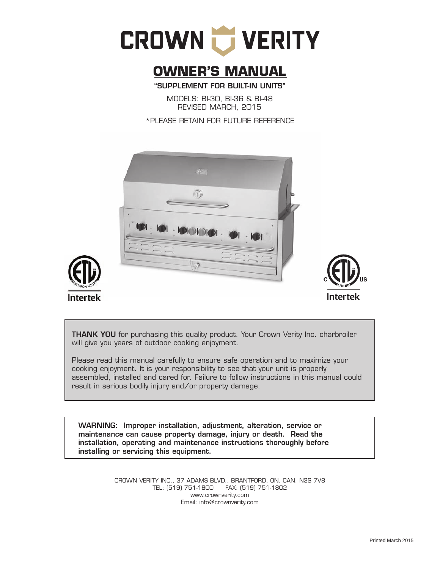

# **OWNER'S MANUAL**

"SUPPLEMENT FOR BUILT-IN UNITS"

MODELS: BI-30, BI-36 & BI-48 REVISED MARCH, 2015

\*PLEASE RETAIN FOR FUTURE REFERENCE







**THANK YOU** for purchasing this quality product. Your Crown Verity Inc. charbroiler will give you years of outdoor cooking enjoyment.

Please read this manual carefully to ensure safe operation and to maximize your cooking enjoyment. It is your responsibility to see that your unit is properly assembled, installed and cared for. Failure to follow instructions in this manual could result in serious bodily injury and/or property damage.

WARNING: Improper installation, adjustment, alteration, service or maintenance can cause property damage, injury or death. Read the installation, operating and maintenance instructions thoroughly before installing or servicing this equipment.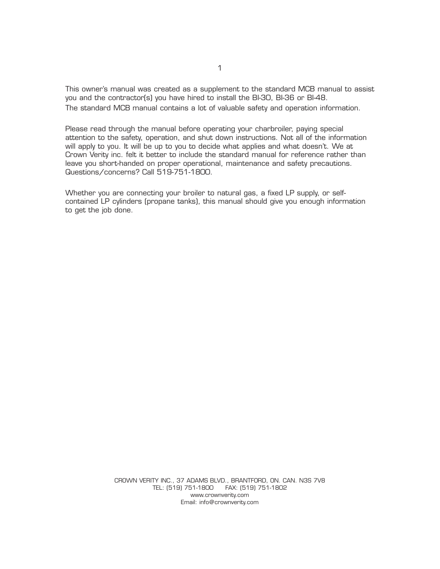This owner's manual was created as a supplement to the standard MCB manual to assist you and the contractor(s) you have hired to install the BI-30, BI-36 or BI-48. The standard MCB manual contains a lot of valuable safety and operation information.

Please read through the manual before operating your charbroiler, paying special attention to the safety, operation, and shut down instructions. Not all of the information will apply to you. It will be up to you to decide what applies and what doesn't. We at Crown Verity inc. felt it better to include the standard manual for reference rather than leave you short-handed on proper operational, maintenance and safety precautions. Questions/concerns? Call 519-751-1800.

Whether you are connecting your broiler to natural gas, a fixed LP supply, or selfcontained LP cylinders (propane tanks), this manual should give you enough information to get the job done.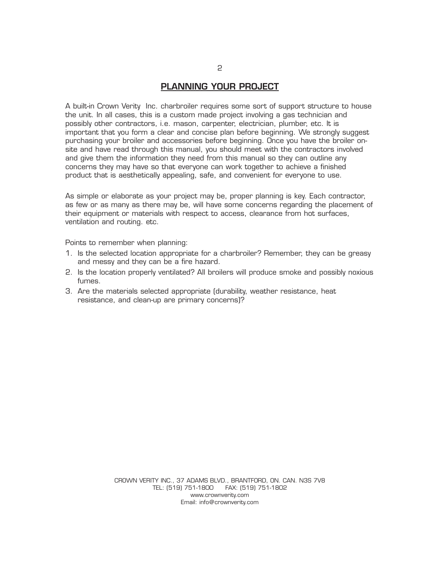#### **PLANNING YOUR PROJECT**

A built-in Crown Verity Inc. charbroiler requires some sort of support structure to house the unit. In all cases, this is a custom made project involving a gas technician and possibly other contractors, i.e. mason, carpenter, electrician, plumber, etc. It is important that you form a clear and concise plan before beginning. We strongly suggest purchasing your broiler and accessories before beginning. Once you have the broiler onsite and have read through this manual, you should meet with the contractors involved and give them the information they need from this manual so they can outline any concerns they may have so that everyone can work together to achieve a finished product that is aesthetically appealing, safe, and convenient for everyone to use.

As simple or elaborate as your project may be, proper planning is key. Each contractor, as few or as many as there may be, will have some concerns regarding the placement of their equipment or materials with respect to access, clearance from hot surfaces, ventilation and routing. etc.

Points to remember when planning:

- 1. Is the selected location appropriate for a charbroiler? Remember, they can be greasy and messy and they can be a fire hazard.
- 2. Is the location properly ventilated? All broilers will produce smoke and possibly noxious fumes.
- 3. Are the materials selected appropriate (durability, weather resistance, heat resistance, and clean-up are primary concerns)?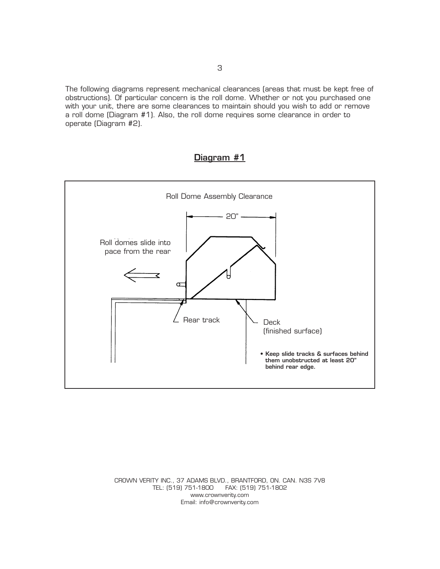The following diagrams represent mechanical clearances (areas that must be kept free of obstructions). Of particular concern is the roll dome. Whether or not you purchased one with your unit, there are some clearances to maintain should you wish to add or remove a roll dome (Diagram #1). Also, the roll dome requires some clearance in order to operate (Diagram #2).

# **Diagram #1**

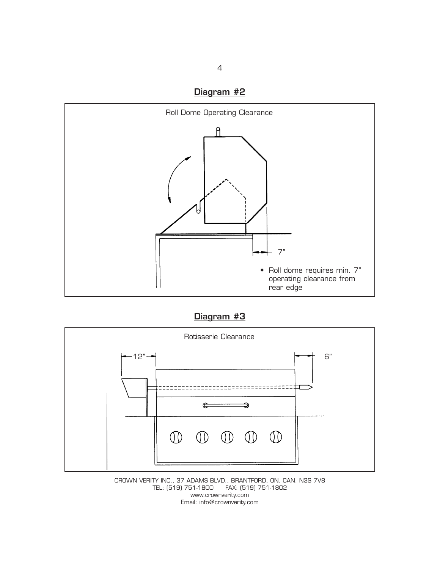



**Diagram #3**



CROWN VERITY INC., 37 ADAMS BLVD., BRANTFORD, ON. CAN. N3S 7V8 FAX: (519) 751-1802 www.crownverity.com Email: info@crownverity.com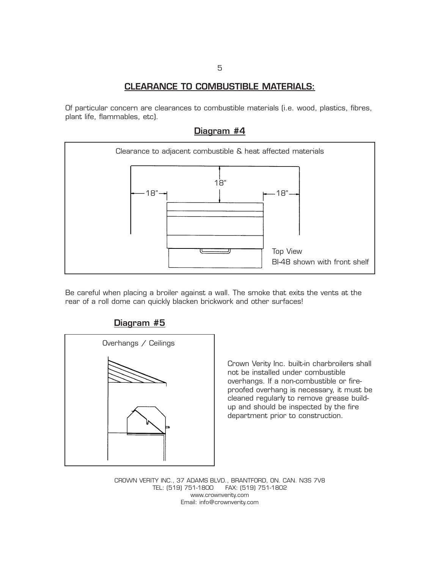## **CLEARANCE TO COMBUSTIBLE MATERIALS:**

Of particular concern are clearances to combustible materials (i.e. wood, plastics, fibres, plant life, flammables, etc).



Be careful when placing a broiler against a wall. The smoke that exits the vents at the rear of a roll dome can quickly blacken brickwork and other surfaces!



**Diagram #5**

Crown Verity Inc. built-in charbroilers shall not be installed under combustible overhangs. If a non-combustible or fireproofed overhang is necessary, it must be cleaned regularly to remove grease buildup and should be inspected by the fire department prior to construction.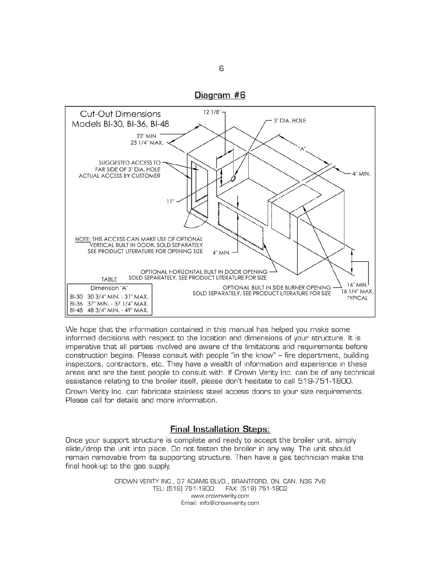

We hope that the information contained in this manual has helped you make some informed decisions with respect to the location and dimensions of your structure. It is imperative that all parties involved are aware of the limitations and requirements before construction begins. Please consult with people "in the know" - fire department, building inspectors, contractors, etc. They have a wealth of information and experience in these areas and are the best people to consult with. If Crown Verity Inc. can be of any technical assistance relating to the broiler itself, please don't hesitate to call 519-751-1800. Crown Verity Inc. can fabricate stainless steel access doors to your size requirements. Please call for details and more information.

## **Final Installation Steps:**

Once your support structure is complete and ready to accept the broiler unit, simply slide/drop the unit into place. Do not fasten the broiler in any way. The unit should remain removable from its supporting structure. Then have a gas technician make the final hook-up to the gas supply.

> CROWN VERITY INC., 37 ADAMS BLVD., BRANTFORD, ON. CAN. N3S 7V8 TEL: (519) 751-1800 FAX: (519) 751-1802 www.crownverity.com Email: info@crownverity.com

6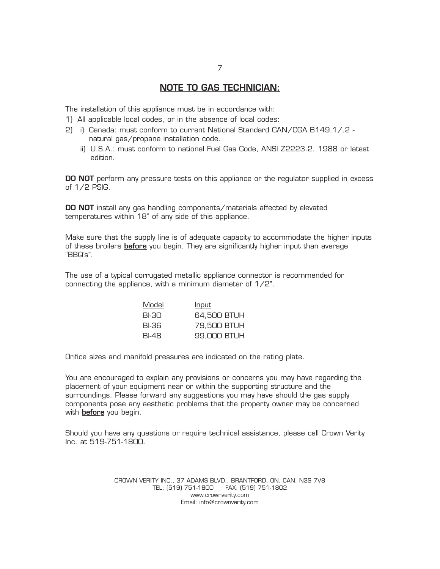## **NOTE TO GAS TECHNICIAN:**

The installation of this appliance must be in accordance with:

- 1) All applicable local codes, or in the absence of local codes:
- 2) i) Canada: must conform to current National Standard CAN/CGA B149.1/.2 natural gas/propane installation code.
	- ii) U.S.A.: must conform to national Fuel Gas Code, ANSI Z2223.2, 1988 or latest edition.

**DO NOT** perform any pressure tests on this appliance or the regulator supplied in excess of 1/2 PSIG.

**DO NOT** install any gas handling components/materials affected by elevated temperatures within 18" of any side of this appliance.

Make sure that the supply line is of adequate capacity to accommodate the higher inputs of these broilers **before** you begin. They are significantly higher input than average "BBQ's".

The use of a typical corrugated metallic appliance connector is recommended for connecting the appliance, with a minimum diameter of 1/2".

| Model | <u>Input</u> |
|-------|--------------|
| BI-30 | 64.500 BTUH  |
| BI-36 | 79.500 BTUH  |
| BI-48 | 99,000 BTUH  |

Orifice sizes and manifold pressures are indicated on the rating plate.

You are encouraged to explain any provisions or concerns you may have regarding the placement of your equipment near or within the supporting structure and the surroundings. Please forward any suggestions you may have should the gas supply components pose any aesthetic problems that the property owner may be concerned with **before** you begin.

Should you have any questions or require technical assistance, please call Crown Verity Inc. at 519-751-1800.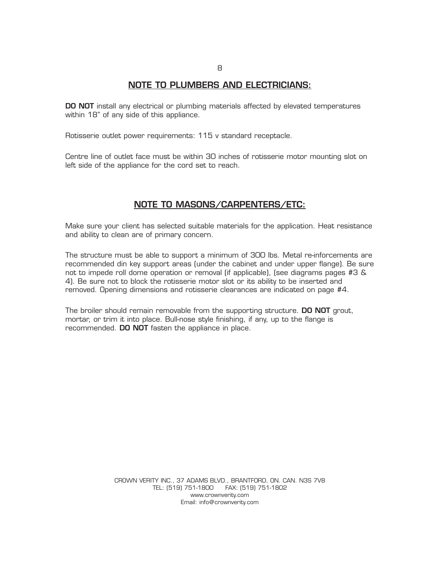## **NOTE TO PLUMBERS AND ELECTRICIANS:**

**DO NOT** install any electrical or plumbing materials affected by elevated temperatures within 18" of any side of this appliance.

Rotisserie outlet power requirements: 115 v standard receptacle.

Centre line of outlet face must be within 30 inches of rotisserie motor mounting slot on left side of the appliance for the cord set to reach.

#### **NOTE TO MASONS/CARPENTERS/ETC:**

Make sure your client has selected suitable materials for the application. Heat resistance and ability to clean are of primary concern.

The structure must be able to support a minimum of 300 lbs. Metal re-inforcements are recommended din key support areas (under the cabinet and under upper flange). Be sure not to impede roll dome operation or removal (if applicable), (see diagrams pages #3 & 4). Be sure not to block the rotisserie motor slot or its ability to be inserted and removed. Opening dimensions and rotisserie clearances are indicated on page #4.

The broiler should remain removable from the supporting structure. **DO NOT** grout, mortar, or trim it into place. Bull-nose style finishing, if any, up to the flange is recommended. **DO NOT** fasten the appliance in place.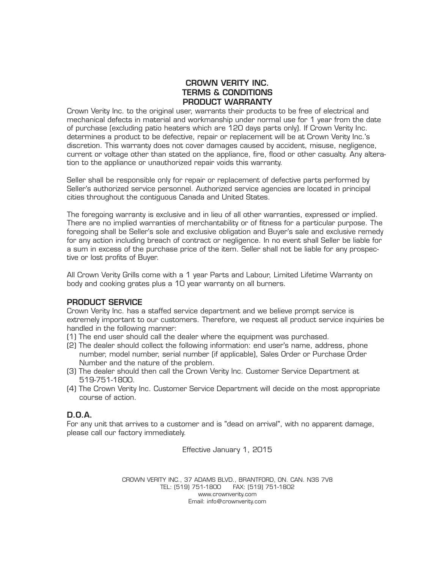## CROWN VERITY INC. TERMS & CONDITIONS PRODUCT WARRANTY

Crown Verity Inc. to the original user, warrants their products to be free of electrical and mechanical defects in material and workmanship under normal use for 1 year from the date of purchase (excluding patio heaters which are 120 days parts only). If Crown Verity Inc. determines a product to be defective, repair or replacement will be at Crown Verity Inc.'s discretion. This warranty does not cover damages caused by accident, misuse, negligence, current or voltage other than stated on the appliance, fire, flood or other casualty. Any alteration to the appliance or unauthorized repair voids this warranty.

Seller shall be responsible only for repair or replacement of defective parts performed by Seller's authorized service personnel. Authorized service agencies are located in principal cities throughout the contiguous Canada and United States.

The foregoing warranty is exclusive and in lieu of all other warranties, expressed or implied. There are no implied warranties of merchantability or of fitness for a particular purpose. The foregoing shall be Seller's sole and exclusive obligation and Buyer's sale and exclusive remedy for any action including breach of contract or negligence. In no event shall Seller be liable for a sum in excess of the purchase price of the item. Seller shall not be liable for any prospective or lost profits of Buyer.

All Crown Verity Grills come with a 1 year Parts and Labour, Limited Lifetime Warranty on body and cooking grates plus a 10 year warranty on all burners.

#### PRODUCT SERVICE

Crown Verity Inc. has a staffed service department and we believe prompt service is extremely important to our customers. Therefore, we request all product service inquiries be handled in the following manner:

- (1) The end user should call the dealer where the equipment was purchased.
- (2) The dealer should collect the following information: end user's name, address, phone number, model number, serial number (if applicable), Sales Order or Purchase Order Number and the nature of the problem.
- (3) The dealer should then call the Crown Verity Inc. Customer Service Department at 519-751-1800.
- (4) The Crown Verity Inc. Customer Service Department will decide on the most appropriate course of action.

## D.O.A.

For any unit that arrives to a customer and is "dead on arrival", with no apparent damage, please call our factory immediately.

Effective January 1, 2015